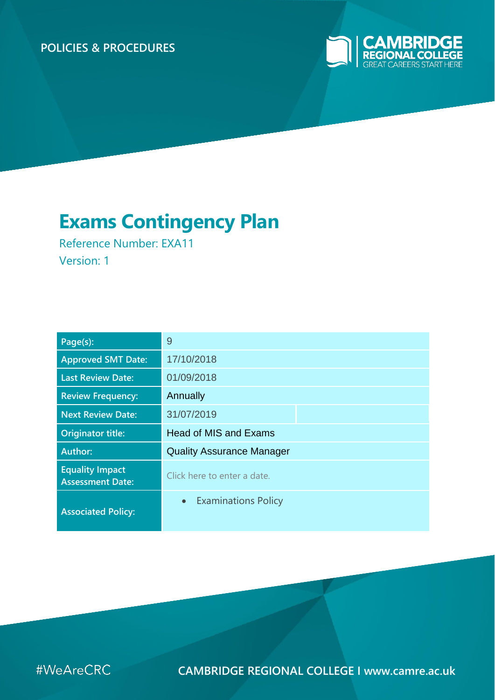# **POLICIES & PROCEDURES**



# **Exams Contingency Plan**

Reference Number: EXA11 Version: 1

| Page(s):                                          | 9                                |  |  |
|---------------------------------------------------|----------------------------------|--|--|
| <b>Approved SMT Date:</b>                         | 17/10/2018                       |  |  |
| <b>Last Review Date:</b>                          | 01/09/2018                       |  |  |
| <b>Review Frequency:</b>                          | Annually                         |  |  |
| <b>Next Review Date:</b>                          | 31/07/2019                       |  |  |
| <b>Originator title:</b>                          | <b>Head of MIS and Exams</b>     |  |  |
| Author:                                           | <b>Quality Assurance Manager</b> |  |  |
| <b>Equality Impact</b><br><b>Assessment Date:</b> | Click here to enter a date.      |  |  |
| <b>Associated Policy:</b>                         | • Examinations Policy            |  |  |



**CAMBRIDGE REGIONAL COLLEGE I www.camre.ac.uk**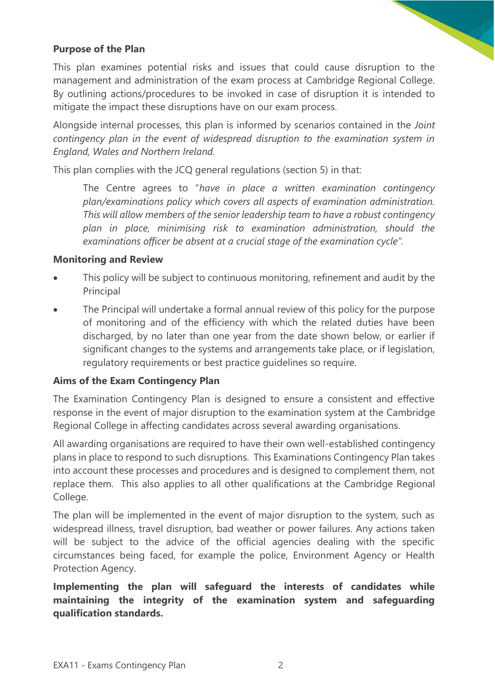### **Purpose of the Plan**

This plan examines potential risks and issues that could cause disruption to the management and administration of the exam process at Cambridge Regional College. By outlining actions/procedures to be invoked in case of disruption it is intended to mitigate the impact these disruptions have on our exam process.

Alongside internal processes, this plan is informed by scenarios contained in the *Joint contingency plan in the event of widespread disruption to the examination system in England, Wales and Northern Ireland.*

This plan complies with the JCQ general regulations (section 5) in that:

The Centre agrees to "*have in place a written examination contingency plan/examinations policy which covers all aspects of examination administration. This will allow members of the senior leadership team to have a robust contingency plan in place, minimising risk to examination administration, should the examinations officer be absent at a crucial stage of the examination cycle".*

#### **Monitoring and Review**

- This policy will be subject to continuous monitoring, refinement and audit by the Principal
- The Principal will undertake a formal annual review of this policy for the purpose of monitoring and of the efficiency with which the related duties have been discharged, by no later than one year from the date shown below, or earlier if significant changes to the systems and arrangements take place, or if legislation, regulatory requirements or best practice guidelines so require.

#### **Aims of the Exam Contingency Plan**

The Examination Contingency Plan is designed to ensure a consistent and effective response in the event of major disruption to the examination system at the Cambridge Regional College in affecting candidates across several awarding organisations.

All awarding organisations are required to have their own well-established contingency plans in place to respond to such disruptions. This Examinations Contingency Plan takes into account these processes and procedures and is designed to complement them, not replace them. This also applies to all other qualifications at the Cambridge Regional College.

The plan will be implemented in the event of major disruption to the system, such as widespread illness, travel disruption, bad weather or power failures. Any actions taken will be subject to the advice of the official agencies dealing with the specific circumstances being faced, for example the police, Environment Agency or Health Protection Agency.

**Implementing the plan will safeguard the interests of candidates while maintaining the integrity of the examination system and safeguarding qualification standards.**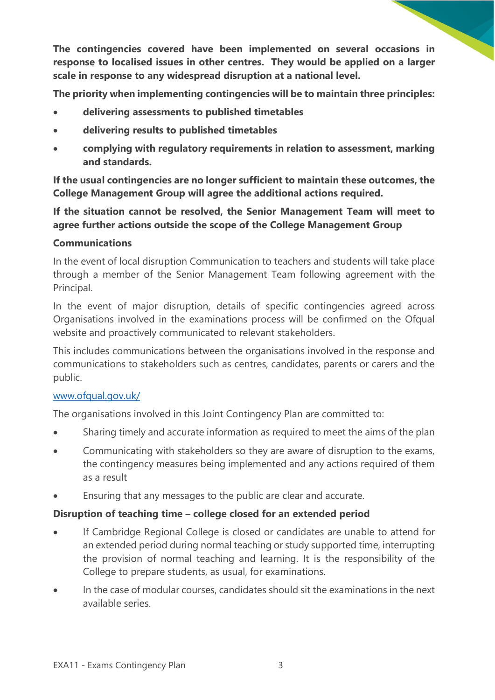**The contingencies covered have been implemented on several occasions in response to localised issues in other centres. They would be applied on a larger scale in response to any widespread disruption at a national level.** 

**The priority when implementing contingencies will be to maintain three principles:** 

- **delivering assessments to published timetables**
- **delivering results to published timetables**
- **complying with regulatory requirements in relation to assessment, marking and standards.**

**If the usual contingencies are no longer sufficient to maintain these outcomes, the College Management Group will agree the additional actions required.** 

**If the situation cannot be resolved, the Senior Management Team will meet to agree further actions outside the scope of the College Management Group**

#### **Communications**

In the event of local disruption Communication to teachers and students will take place through a member of the Senior Management Team following agreement with the Principal.

In the event of major disruption, details of specific contingencies agreed across Organisations involved in the examinations process will be confirmed on the Ofqual website and proactively communicated to relevant stakeholders.

This includes communications between the organisations involved in the response and communications to stakeholders such as centres, candidates, parents or carers and the public.

#### [www.ofqual.gov.uk/](http://www.ofqual.gov.uk/)

The organisations involved in this Joint Contingency Plan are committed to:

- Sharing timely and accurate information as required to meet the aims of the plan
- Communicating with stakeholders so they are aware of disruption to the exams, the contingency measures being implemented and any actions required of them as a result
- Ensuring that any messages to the public are clear and accurate.

#### **Disruption of teaching time – college closed for an extended period**

- If Cambridge Regional College is closed or candidates are unable to attend for an extended period during normal teaching or study supported time, interrupting the provision of normal teaching and learning. It is the responsibility of the College to prepare students, as usual, for examinations.
- In the case of modular courses, candidates should sit the examinations in the next available series.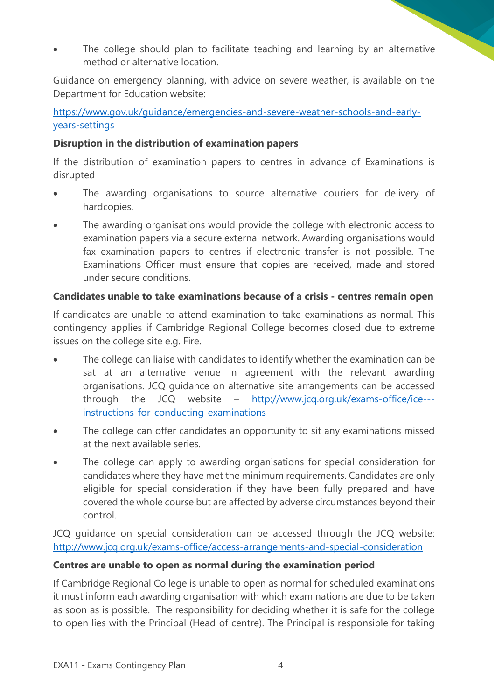The college should plan to facilitate teaching and learning by an alternative method or alternative location.

Guidance on emergency planning, with advice on severe weather, is available on the Department for Education website:

[https://www.gov.uk/guidance/emergencies-and-severe-weather-schools-and-early](https://www.gov.uk/guidance/emergencies-and-severe-weather-schools-and-early-years-settings)[years-settings](https://www.gov.uk/guidance/emergencies-and-severe-weather-schools-and-early-years-settings)

### **Disruption in the distribution of examination papers**

If the distribution of examination papers to centres in advance of Examinations is disrupted

- The awarding organisations to source alternative couriers for delivery of hardcopies.
- The awarding organisations would provide the college with electronic access to examination papers via a secure external network. Awarding organisations would fax examination papers to centres if electronic transfer is not possible. The Examinations Officer must ensure that copies are received, made and stored under secure conditions.

# **Candidates unable to take examinations because of a crisis - centres remain open**

If candidates are unable to attend examination to take examinations as normal. This contingency applies if Cambridge Regional College becomes closed due to extreme issues on the college site e.g. Fire.

- The college can liaise with candidates to identify whether the examination can be sat at an alternative venue in agreement with the relevant awarding organisations. JCQ guidance on alternative site arrangements can be accessed through the JCQ website – [http://www.jcq.org.uk/exams-office/ice--](http://www.jcq.org.uk/exams-office/ice---instructions-for-conducting-examinations) [instructions-for-conducting-examinations](http://www.jcq.org.uk/exams-office/ice---instructions-for-conducting-examinations)
- The college can offer candidates an opportunity to sit any examinations missed at the next available series.
- The college can apply to awarding organisations for special consideration for candidates where they have met the minimum requirements. Candidates are only eligible for special consideration if they have been fully prepared and have covered the whole course but are affected by adverse circumstances beyond their control.

JCQ guidance on special consideration can be accessed through the JCQ website: <http://www.jcq.org.uk/exams-office/access-arrangements-and-special-consideration>

# **Centres are unable to open as normal during the examination period**

If Cambridge Regional College is unable to open as normal for scheduled examinations it must inform each awarding organisation with which examinations are due to be taken as soon as is possible. The responsibility for deciding whether it is safe for the college to open lies with the Principal (Head of centre). The Principal is responsible for taking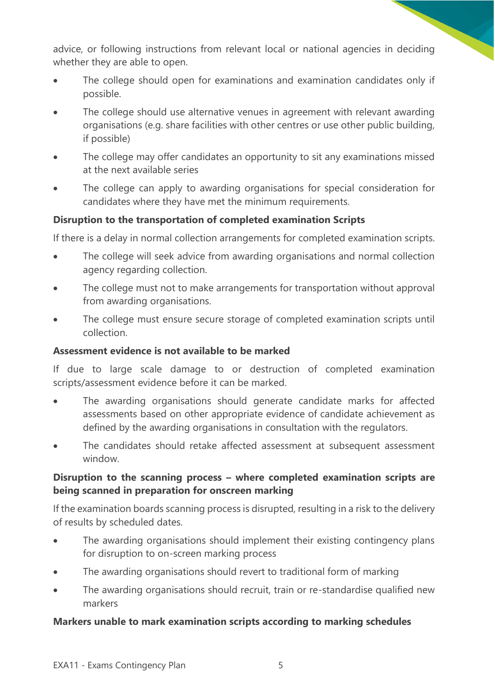advice, or following instructions from relevant local or national agencies in deciding whether they are able to open.

- The college should open for examinations and examination candidates only if possible.
- The college should use alternative venues in agreement with relevant awarding organisations (e.g. share facilities with other centres or use other public building, if possible)
- The college may offer candidates an opportunity to sit any examinations missed at the next available series
- The college can apply to awarding organisations for special consideration for candidates where they have met the minimum requirements.

### **Disruption to the transportation of completed examination Scripts**

If there is a delay in normal collection arrangements for completed examination scripts.

- The college will seek advice from awarding organisations and normal collection agency regarding collection.
- The college must not to make arrangements for transportation without approval from awarding organisations.
- The college must ensure secure storage of completed examination scripts until collection.

#### **Assessment evidence is not available to be marked**

If due to large scale damage to or destruction of completed examination scripts/assessment evidence before it can be marked.

- The awarding organisations should generate candidate marks for affected assessments based on other appropriate evidence of candidate achievement as defined by the awarding organisations in consultation with the regulators.
- The candidates should retake affected assessment at subsequent assessment window.

# **Disruption to the scanning process – where completed examination scripts are being scanned in preparation for onscreen marking**

If the examination boards scanning process is disrupted, resulting in a risk to the delivery of results by scheduled dates.

- The awarding organisations should implement their existing contingency plans for disruption to on-screen marking process
- The awarding organisations should revert to traditional form of marking
- The awarding organisations should recruit, train or re-standardise qualified new markers

#### **Markers unable to mark examination scripts according to marking schedules**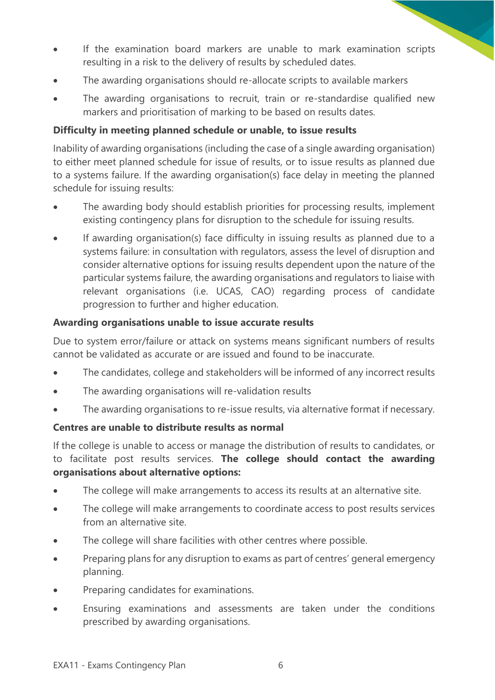- If the examination board markers are unable to mark examination scripts resulting in a risk to the delivery of results by scheduled dates.
- The awarding organisations should re-allocate scripts to available markers
- The awarding organisations to recruit, train or re-standardise qualified new markers and prioritisation of marking to be based on results dates.

# **Difficulty in meeting planned schedule or unable, to issue results**

Inability of awarding organisations (including the case of a single awarding organisation) to either meet planned schedule for issue of results, or to issue results as planned due to a systems failure. If the awarding organisation(s) face delay in meeting the planned schedule for issuing results:

- The awarding body should establish priorities for processing results, implement existing contingency plans for disruption to the schedule for issuing results.
- If awarding organisation(s) face difficulty in issuing results as planned due to a systems failure: in consultation with regulators, assess the level of disruption and consider alternative options for issuing results dependent upon the nature of the particular systems failure, the awarding organisations and regulators to liaise with relevant organisations (i.e. UCAS, CAO) regarding process of candidate progression to further and higher education.

### **Awarding organisations unable to issue accurate results**

Due to system error/failure or attack on systems means significant numbers of results cannot be validated as accurate or are issued and found to be inaccurate.

- The candidates, college and stakeholders will be informed of any incorrect results
- The awarding organisations will re-validation results
- The awarding organisations to re-issue results, via alternative format if necessary.

#### **Centres are unable to distribute results as normal**

If the college is unable to access or manage the distribution of results to candidates, or to facilitate post results services. **The college should contact the awarding organisations about alternative options:** 

- The college will make arrangements to access its results at an alternative site.
- The college will make arrangements to coordinate access to post results services from an alternative site.
- The college will share facilities with other centres where possible.
- Preparing plans for any disruption to exams as part of centres' general emergency planning.
- Preparing candidates for examinations.
- Ensuring examinations and assessments are taken under the conditions prescribed by awarding organisations.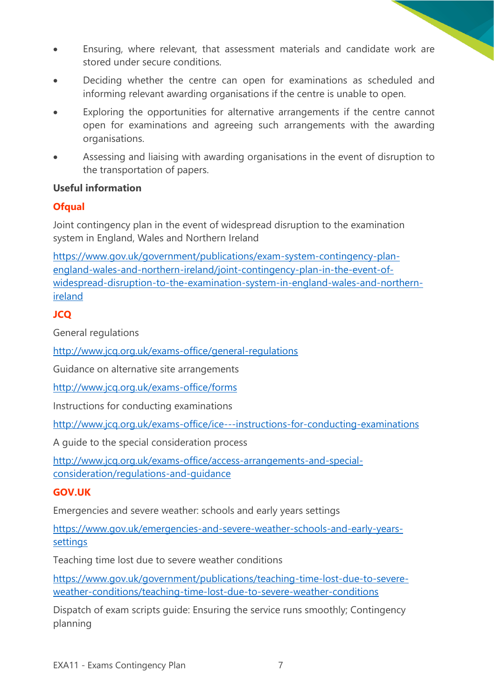- Ensuring, where relevant, that assessment materials and candidate work are stored under secure conditions.
- Deciding whether the centre can open for examinations as scheduled and informing relevant awarding organisations if the centre is unable to open.
- Exploring the opportunities for alternative arrangements if the centre cannot open for examinations and agreeing such arrangements with the awarding organisations.
- Assessing and liaising with awarding organisations in the event of disruption to the transportation of papers.

### **Useful information**

# **Ofqual**

Joint contingency plan in the event of widespread disruption to the examination system in England, Wales and Northern Ireland

[https://www.gov.uk/government/publications/exam-system-contingency-plan](https://www.gov.uk/government/publications/exam-system-contingency-plan-england-wales-and-northern-ireland/joint-contingency-plan-in-the-event-of-widespread-disruption-to-the-examination-system-in-england-wales-and-northern-ireland)[england-wales-and-northern-ireland/joint-contingency-plan-in-the-event-of](https://www.gov.uk/government/publications/exam-system-contingency-plan-england-wales-and-northern-ireland/joint-contingency-plan-in-the-event-of-widespread-disruption-to-the-examination-system-in-england-wales-and-northern-ireland)[widespread-disruption-to-the-examination-system-in-england-wales-and-northern](https://www.gov.uk/government/publications/exam-system-contingency-plan-england-wales-and-northern-ireland/joint-contingency-plan-in-the-event-of-widespread-disruption-to-the-examination-system-in-england-wales-and-northern-ireland)[ireland](https://www.gov.uk/government/publications/exam-system-contingency-plan-england-wales-and-northern-ireland/joint-contingency-plan-in-the-event-of-widespread-disruption-to-the-examination-system-in-england-wales-and-northern-ireland)

# **JCQ**

General regulations

<http://www.jcq.org.uk/exams-office/general-regulations>

Guidance on alternative site arrangements

<http://www.jcq.org.uk/exams-office/forms>

Instructions for conducting examinations

<http://www.jcq.org.uk/exams-office/ice---instructions-for-conducting-examinations>

A guide to the special consideration process

[http://www.jcq.org.uk/exams-office/access-arrangements-and-special](http://www.jcq.org.uk/exams-office/access-arrangements-and-special-consideration/regulations-and-guidance)[consideration/regulations-and-guidance](http://www.jcq.org.uk/exams-office/access-arrangements-and-special-consideration/regulations-and-guidance)

# **GOV.UK**

Emergencies and severe weather: schools and early years settings

[https://www.gov.uk/emergencies-and-severe-weather-schools-and-early-years](https://www.gov.uk/emergencies-and-severe-weather-schools-and-early-years-settings)[settings](https://www.gov.uk/emergencies-and-severe-weather-schools-and-early-years-settings)

Teaching time lost due to severe weather conditions

[https://www.gov.uk/government/publications/teaching-time-lost-due-to-severe](https://www.gov.uk/government/publications/teaching-time-lost-due-to-severe-weather-conditions/teaching-time-lost-due-to-severe-weather-conditions)[weather-conditions/teaching-time-lost-due-to-severe-weather-conditions](https://www.gov.uk/government/publications/teaching-time-lost-due-to-severe-weather-conditions/teaching-time-lost-due-to-severe-weather-conditions)

Dispatch of exam scripts guide: Ensuring the service runs smoothly; Contingency planning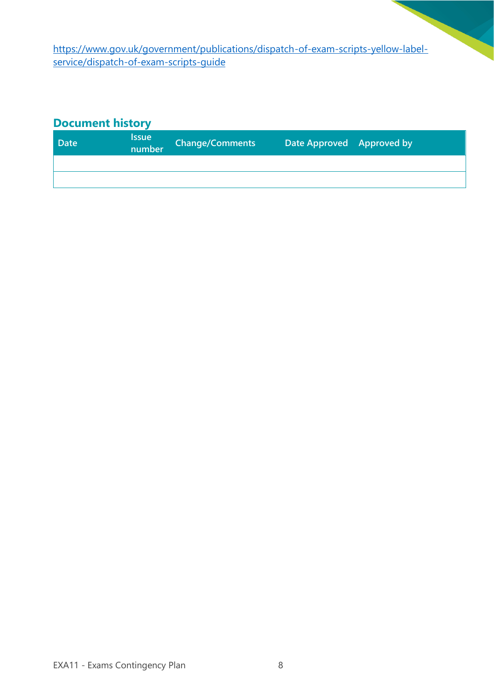[https://www.gov.uk/government/publications/dispatch-of-exam-scripts-yellow-label](https://www.gov.uk/government/publications/dispatch-of-exam-scripts-yellow-label-service/dispatch-of-exam-scripts-guide)[service/dispatch-of-exam-scripts-guide](https://www.gov.uk/government/publications/dispatch-of-exam-scripts-yellow-label-service/dispatch-of-exam-scripts-guide)

# **Document history**

| <b>Date</b> | <b>Issue</b><br>number | <b>Change/Comments</b> | Date Approved Approved by |  |
|-------------|------------------------|------------------------|---------------------------|--|
|             |                        |                        |                           |  |
|             |                        |                        |                           |  |